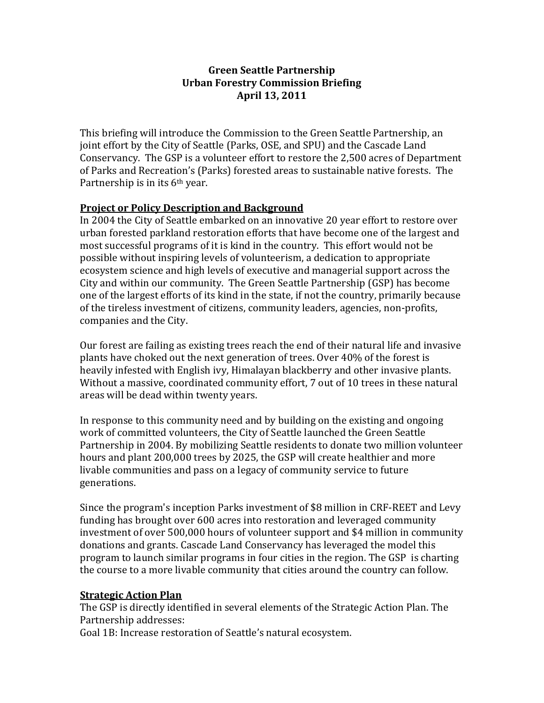### **Green Seattle Partnership Urban Forestry Commission Briefing April 13, 2011**

This briefing will introduce the Commission to the Green Seattle Partnership, an joint effort by the City of Seattle (Parks, OSE, and SPU) and the Cascade Land Conservancy. The GSP is a volunteer effort to restore the 2,500 acres of Department of Parks and Recreation's (Parks) forested areas to sustainable native forests. The Partnership is in its 6<sup>th</sup> year.

## **Project or Policy Description and Background**

In 2004 the City of Seattle embarked on an innovative 20 year effort to restore over urban forested parkland restoration efforts that have become one of the largest and most successful programs of it is kind in the country. This effort would not be possible without inspiring levels of volunteerism, a dedication to appropriate ecosystem science and high levels of executive and managerial support across the City and within our community. The Green Seattle Partnership (GSP) has become one of the largest efforts of its kind in the state, if not the country, primarily because of the tireless investment of citizens, community leaders, agencies, non-profits, companies and the City.

Our forest are failing as existing trees reach the end of their natural life and invasive plants have choked out the next generation of trees. Over 40% of the forest is heavily infested with English ivy, Himalayan blackberry and other invasive plants. Without a massive, coordinated community effort, 7 out of 10 trees in these natural areas will be dead within twenty years.

In response to this community need and by building on the existing and ongoing work of committed volunteers, the City of Seattle launched the Green Seattle Partnership in 2004. By mobilizing Seattle residents to donate two million volunteer hours and plant 200,000 trees by 2025, the GSP will create healthier and more livable communities and pass on a legacy of community service to future generations.

Since the program's inception Parks investment of \$8 million in CRF-REET and Levy funding has brought over 600 acres into restoration and leveraged community investment of over 500,000 hours of volunteer support and \$4 million in community donations and grants. Cascade Land Conservancy has leveraged the model this program to launch similar programs in four cities in the region. The GSP is charting the course to a more livable community that cities around the country can follow.

#### **Strategic Action Plan**

The GSP is directly identified in several elements of the Strategic Action Plan. The Partnership addresses:

Goal 1B: Increase restoration of Seattle's natural ecosystem.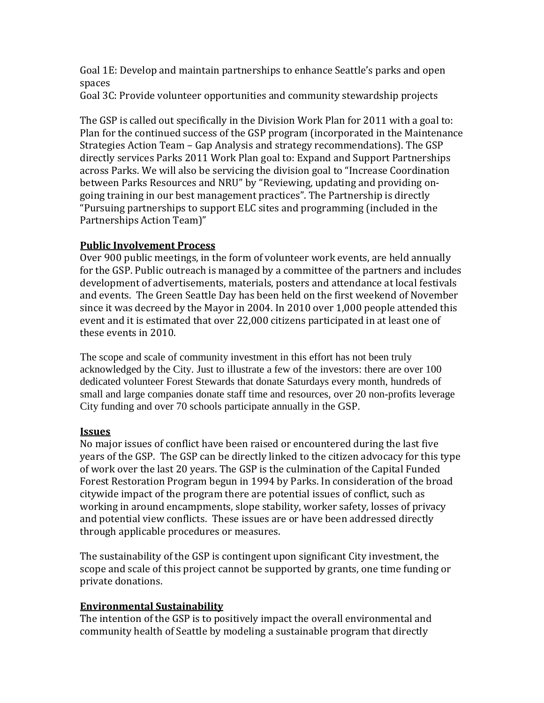Goal 1E: Develop and maintain partnerships to enhance Seattle's parks and open spaces

Goal 3C: Provide volunteer opportunities and community stewardship projects

The GSP is called out specifically in the Division Work Plan for 2011 with a goal to: Plan for the continued success of the GSP program (incorporated in the Maintenance Strategies Action Team – Gap Analysis and strategy recommendations). The GSP directly services Parks 2011 Work Plan goal to: Expand and Support Partnerships across Parks. We will also be servicing the division goal to "Increase Coordination between Parks Resources and NRU" by "Reviewing, updating and providing ongoing training in our best management practices". The Partnership is directly "Pursuing partnerships to support ELC sites and programming (included in the Partnerships Action Team)"

# **Public Involvement Process**

Over 900 public meetings, in the form of volunteer work events, are held annually for the GSP. Public outreach is managed by a committee of the partners and includes development of advertisements, materials, posters and attendance at local festivals and events. The Green Seattle Day has been held on the first weekend of November since it was decreed by the Mayor in 2004. In 2010 over 1,000 people attended this event and it is estimated that over 22,000 citizens participated in at least one of these events in 2010.

The scope and scale of community investment in this effort has not been truly acknowledged by the City. Just to illustrate a few of the investors: there are over 100 dedicated volunteer Forest Stewards that donate Saturdays every month, hundreds of small and large companies donate staff time and resources, over 20 non-profits leverage City funding and over 70 schools participate annually in the GSP.

#### **Issues**

No major issues of conflict have been raised or encountered during the last five years of the GSP. The GSP can be directly linked to the citizen advocacy for this type of work over the last 20 years. The GSP is the culmination of the Capital Funded Forest Restoration Program begun in 1994 by Parks. In consideration of the broad citywide impact of the program there are potential issues of conflict, such as working in around encampments, slope stability, worker safety, losses of privacy and potential view conflicts. These issues are or have been addressed directly through applicable procedures or measures.

The sustainability of the GSP is contingent upon significant City investment, the scope and scale of this project cannot be supported by grants, one time funding or private donations.

# **Environmental Sustainability**

The intention of the GSP is to positively impact the overall environmental and community health of Seattle by modeling a sustainable program that directly